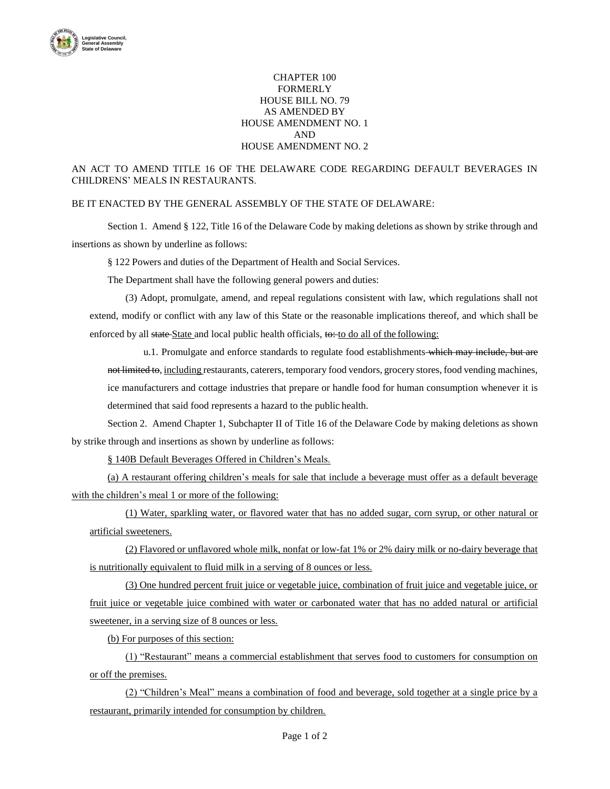

## CHAPTER 100 FORMERLY HOUSE BILL NO. 79 AS AMENDED BY HOUSE AMENDMENT NO. 1 AND HOUSE AMENDMENT NO. 2

## AN ACT TO AMEND TITLE 16 OF THE DELAWARE CODE REGARDING DEFAULT BEVERAGES IN CHILDRENS' MEALS IN RESTAURANTS.

## BE IT ENACTED BY THE GENERAL ASSEMBLY OF THE STATE OF DELAWARE:

Section 1. Amend § 122, Title 16 of the Delaware Code by making deletions as shown by strike through and insertions as shown by underline as follows:

§ 122 Powers and duties of the Department of Health and Social Services.

The Department shall have the following general powers and duties:

(3) Adopt, promulgate, amend, and repeal regulations consistent with law, which regulations shall not extend, modify or conflict with any law of this State or the reasonable implications thereof, and which shall be enforced by all state-State and local public health officials, to: to do all of the following:

u.1. Promulgate and enforce standards to regulate food establishments which may include, but are not limited to, including restaurants, caterers, temporary food vendors, grocery stores, food vending machines, ice manufacturers and cottage industries that prepare or handle food for human consumption whenever it is determined that said food represents a hazard to the public health.

Section 2. Amend Chapter 1, Subchapter II of Title 16 of the Delaware Code by making deletions as shown by strike through and insertions as shown by underline as follows:

§ 140B Default Beverages Offered in Children's Meals.

(a) A restaurant offering children's meals for sale that include a beverage must offer as a default beverage with the children's meal 1 or more of the following:

(1) Water, sparkling water, or flavored water that has no added sugar, corn syrup, or other natural or artificial sweeteners.

(2) Flavored or unflavored whole milk, nonfat or low-fat 1% or 2% dairy milk or no-dairy beverage that is nutritionally equivalent to fluid milk in a serving of 8 ounces or less.

(3) One hundred percent fruit juice or vegetable juice, combination of fruit juice and vegetable juice, or fruit juice or vegetable juice combined with water or carbonated water that has no added natural or artificial sweetener, in a serving size of 8 ounces or less.

(b) For purposes of this section:

(1) "Restaurant" means a commercial establishment that serves food to customers for consumption on or off the premises.

(2) "Children's Meal" means a combination of food and beverage, sold together at a single price by a restaurant, primarily intended for consumption by children.